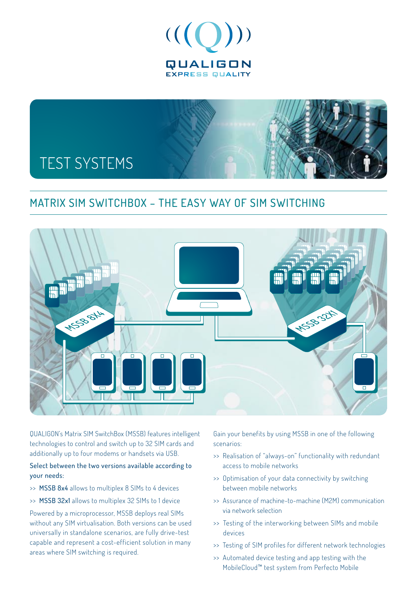



## MATRIX SIM SWITCHBOX – The easy way of SIM switching



QUALIGON's Matrix SIM SwitchBox (MSSB) features intelligent technologies to control and switch up to 32 SIM cards and additionally up to four modems or handsets via USB.

#### Select between the two versions available according to your needs:

- >> MSSB 8x4 allows to multiplex 8 SIMs to 4 devices
- >> MSSB 32x1 allows to multiplex 32 SIMs to 1 device

Powered by a microprocessor, MSSB deploys real SIMs without any SIM virtualisation. Both versions can be used universally in standalone scenarios, are fully drive-test capable and represent a cost-efficient solution in many areas where SIM switching is required.

Gain your benefits by using MSSB in one of the following scenarios:

- >> Realisation of "always-on" functionality with redundant access to mobile networks
- >> Optimisation of your data connectivity by switching between mobile networks
- >> Assurance of machine-to-machine (M2M) communication via network selection
- >> Testing of the interworking between SIMs and mobile devices
- >> Testing of SIM profiles for different network technologies
- >> Automated device testing and app testing with the MobileCloud™ test system from Perfecto Mobile